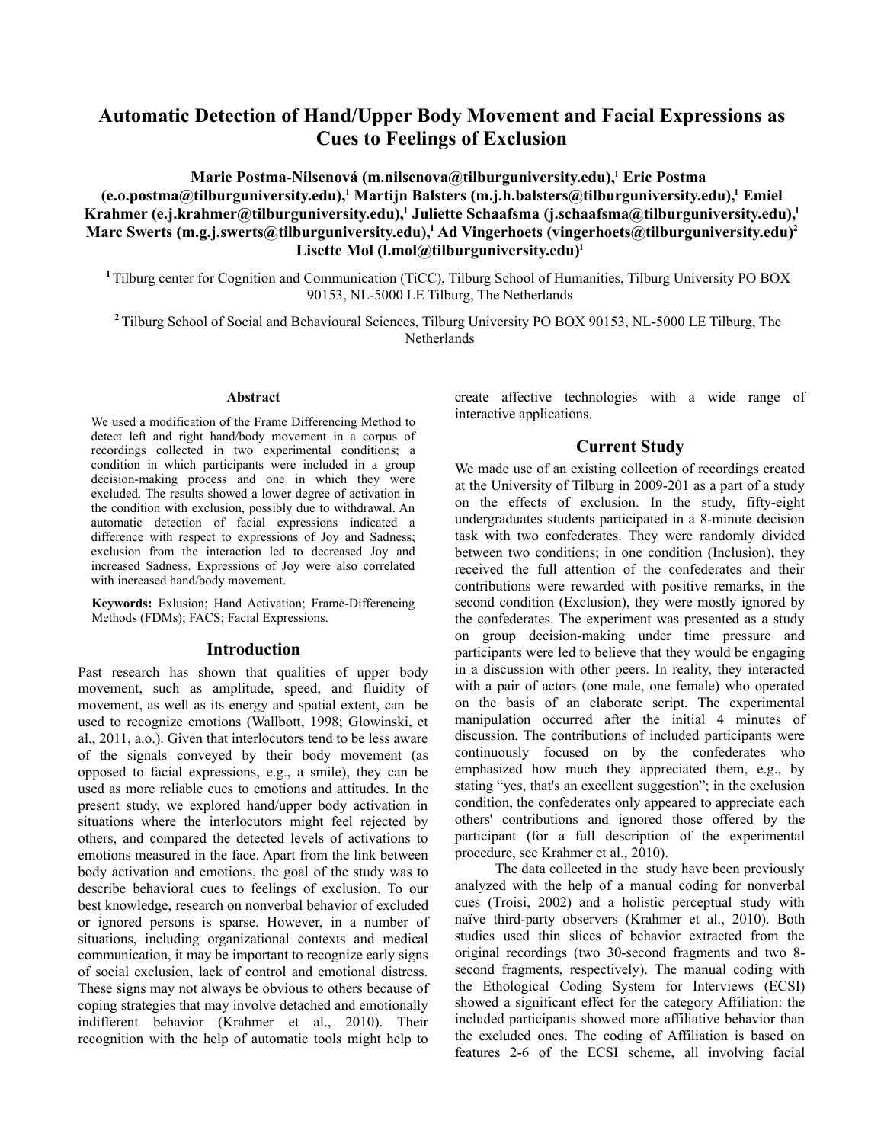# **Automatic Detection of Hand/Upper Body Movement and Facial Expressions as Cues to Feelings of Exclusion**

**Marie Postma-Nilsenová (m.nilsenova@tilburguniversity.edu),<sup>1</sup> Eric Postma (e.o.postma@tilburguniversity.edu),<sup>1</sup> Martijn Balsters (m.j.h.balsters@tilburguniversity.edu),<sup>1</sup> Emiel Krahmer (e.j.krahmer@tilburguniversity.edu),<sup>1</sup> Juliette Schaafsma (j.schaafsma@tilburguniversity.edu),<sup>1</sup> Marc Swerts (m.g.j.swerts@tilburguniversity.edu),<sup>1</sup> Ad Vingerhoets (vingerhoets@tilburguniversity.edu)<sup>2</sup> Lisette Mol (l.mol@tilburguniversity.edu)<sup>1</sup>**

**<sup>1</sup>**Tilburg center for Cognition and Communication (TiCC), Tilburg School of Humanities, Tilburg University PO BOX 90153, NL-5000 LE Tilburg, The Netherlands

**<sup>2</sup>**Tilburg School of Social and Behavioural Sciences, Tilburg University PO BOX 90153, NL-5000 LE Tilburg, The Netherlands

#### **Abstract**

We used a modification of the Frame Differencing Method to detect left and right hand/body movement in a corpus of recordings collected in two experimental conditions; a condition in which participants were included in a group decision-making process and one in which they were excluded. The results showed a lower degree of activation in the condition with exclusion, possibly due to withdrawal. An automatic detection of facial expressions indicated a difference with respect to expressions of Joy and Sadness; exclusion from the interaction led to decreased Joy and increased Sadness. Expressions of Joy were also correlated with increased hand/body movement.

**Keywords:** Exlusion; Hand Activation; Frame-Differencing Methods (FDMs); FACS; Facial Expressions.

### **Introduction**

Past research has shown that qualities of upper body movement, such as amplitude, speed, and fluidity of movement, as well as its energy and spatial extent, can be used to recognize emotions (Wallbott, 1998; Glowinski, et al., 2011, a.o.). Given that interlocutors tend to be less aware of the signals conveyed by their body movement (as opposed to facial expressions, e.g., a smile), they can be used as more reliable cues to emotions and attitudes. In the present study, we explored hand/upper body activation in situations where the interlocutors might feel rejected by others, and compared the detected levels of activations to emotions measured in the face. Apart from the link between body activation and emotions, the goal of the study was to describe behavioral cues to feelings of exclusion. To our best knowledge, research on nonverbal behavior of excluded or ignored persons is sparse. However, in a number of situations, including organizational contexts and medical communication, it may be important to recognize early signs of social exclusion, lack of control and emotional distress. These signs may not always be obvious to others because of coping strategies that may involve detached and emotionally indifferent behavior (Krahmer et al., 2010). Their recognition with the help of automatic tools might help to

create affective technologies with a wide range of interactive applications.

## **Current Study**

We made use of an existing collection of recordings created at the University of Tilburg in 2009-201 as a part of a study on the effects of exclusion. In the study, fifty-eight undergraduates students participated in a 8-minute decision task with two confederates. They were randomly divided between two conditions; in one condition (Inclusion), they received the full attention of the confederates and their contributions were rewarded with positive remarks, in the second condition (Exclusion), they were mostly ignored by the confederates. The experiment was presented as a study on group decision-making under time pressure and participants were led to believe that they would be engaging in a discussion with other peers. In reality, they interacted with a pair of actors (one male, one female) who operated on the basis of an elaborate script. The experimental manipulation occurred after the initial 4 minutes of discussion. The contributions of included participants were continuously focused on by the confederates who emphasized how much they appreciated them, e.g., by stating "yes, that's an excellent suggestion"; in the exclusion condition, the confederates only appeared to appreciate each others' contributions and ignored those offered by the participant (for a full description of the experimental procedure, see Krahmer et al., 2010).

The data collected in the study have been previously analyzed with the help of a manual coding for nonverbal cues (Troisi, 2002) and a holistic perceptual study with naïve third-party observers (Krahmer et al., 2010). Both studies used thin slices of behavior extracted from the original recordings (two 30-second fragments and two 8 second fragments, respectively). The manual coding with the Ethological Coding System for Interviews (ECSI) showed a significant effect for the category Affiliation: the included participants showed more affiliative behavior than the excluded ones. The coding of Affiliation is based on features 2-6 of the ECSI scheme, all involving facial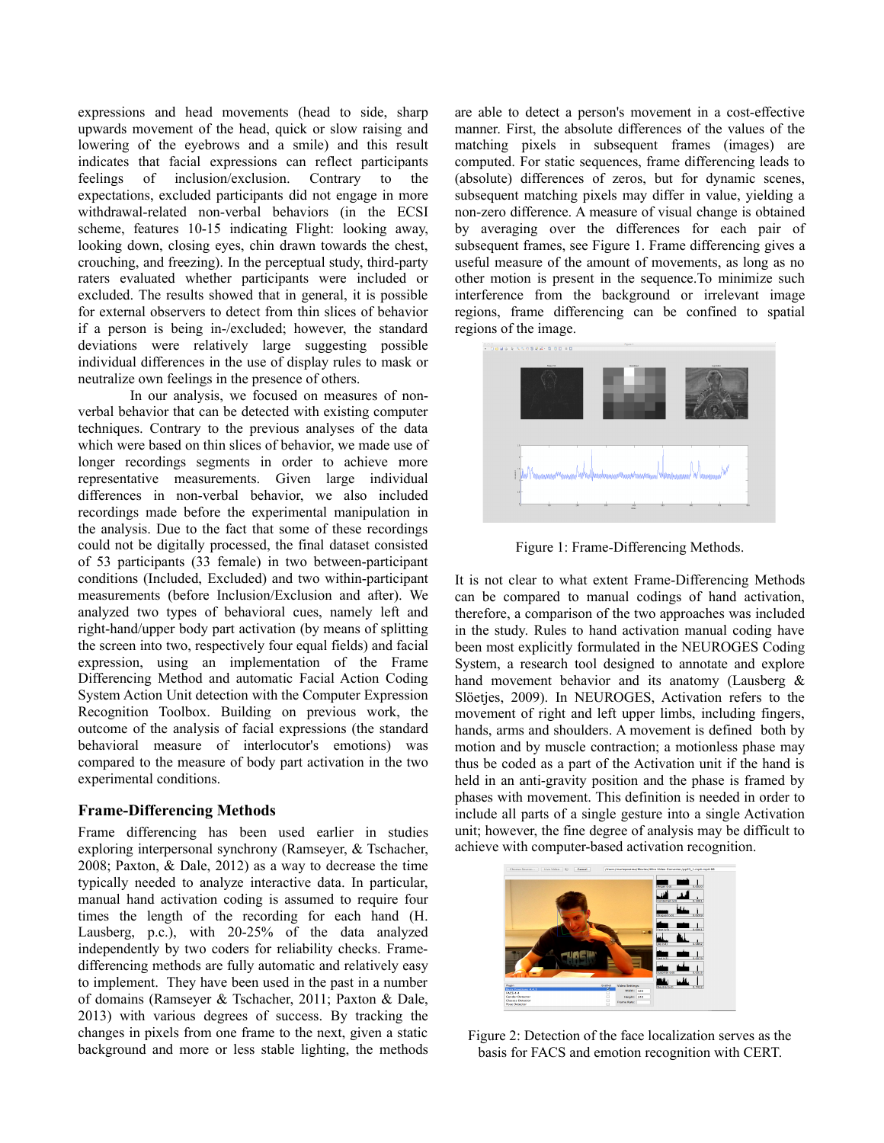expressions and head movements (head to side, sharp upwards movement of the head, quick or slow raising and lowering of the eyebrows and a smile) and this result indicates that facial expressions can reflect participants feelings of inclusion/exclusion. Contrary to the expectations, excluded participants did not engage in more withdrawal-related non-verbal behaviors (in the ECSI scheme, features 10-15 indicating Flight: looking away, looking down, closing eyes, chin drawn towards the chest, crouching, and freezing). In the perceptual study, third-party raters evaluated whether participants were included or excluded. The results showed that in general, it is possible for external observers to detect from thin slices of behavior if a person is being in-/excluded; however, the standard deviations were relatively large suggesting possible individual differences in the use of display rules to mask or neutralize own feelings in the presence of others.

In our analysis, we focused on measures of nonverbal behavior that can be detected with existing computer techniques. Contrary to the previous analyses of the data which were based on thin slices of behavior, we made use of longer recordings segments in order to achieve more representative measurements. Given large individual differences in non-verbal behavior, we also included recordings made before the experimental manipulation in the analysis. Due to the fact that some of these recordings could not be digitally processed, the final dataset consisted of 53 participants (33 female) in two between-participant conditions (Included, Excluded) and two within-participant measurements (before Inclusion/Exclusion and after). We analyzed two types of behavioral cues, namely left and right-hand/upper body part activation (by means of splitting the screen into two, respectively four equal fields) and facial expression, using an implementation of the Frame Differencing Method and automatic Facial Action Coding System Action Unit detection with the Computer Expression Recognition Toolbox. Building on previous work, the outcome of the analysis of facial expressions (the standard behavioral measure of interlocutor's emotions) was compared to the measure of body part activation in the two experimental conditions.

## **Frame-Differencing Methods**

Frame differencing has been used earlier in studies exploring interpersonal synchrony (Ramseyer, & Tschacher, 2008; Paxton, & Dale, 2012) as a way to decrease the time typically needed to analyze interactive data. In particular, manual hand activation coding is assumed to require four times the length of the recording for each hand (H. Lausberg, p.c.), with 20-25% of the data analyzed independently by two coders for reliability checks. Framedifferencing methods are fully automatic and relatively easy to implement. They have been used in the past in a number of domains (Ramseyer & Tschacher, 2011; Paxton & Dale, 2013) with various degrees of success. By tracking the changes in pixels from one frame to the next, given a static background and more or less stable lighting, the methods

are able to detect a person's movement in a cost-effective manner. First, the absolute differences of the values of the matching pixels in subsequent frames (images) are computed. For static sequences, frame differencing leads to (absolute) differences of zeros, but for dynamic scenes, subsequent matching pixels may differ in value, yielding a non-zero difference. A measure of visual change is obtained by averaging over the differences for each pair of subsequent frames, see Figure 1. Frame differencing gives a useful measure of the amount of movements, as long as no other motion is present in the sequence.To minimize such interference from the background or irrelevant image regions, frame differencing can be confined to spatial regions of the image.



Figure 1: Frame-Differencing Methods.

It is not clear to what extent Frame-Differencing Methods can be compared to manual codings of hand activation, therefore, a comparison of the two approaches was included in the study. Rules to hand activation manual coding have been most explicitly formulated in the NEUROGES Coding System, a research tool designed to annotate and explore hand movement behavior and its anatomy (Lausberg & Slöetjes, 2009). In NEUROGES, Activation refers to the movement of right and left upper limbs, including fingers, hands, arms and shoulders. A movement is defined both by motion and by muscle contraction; a motionless phase may thus be coded as a part of the Activation unit if the hand is held in an anti-gravity position and the phase is framed by phases with movement. This definition is needed in order to include all parts of a single gesture into a single Activation unit; however, the fine degree of analysis may be difficult to achieve with computer-based activation recognition.



Figure 2: Detection of the face localization serves as the basis for FACS and emotion recognition with CERT.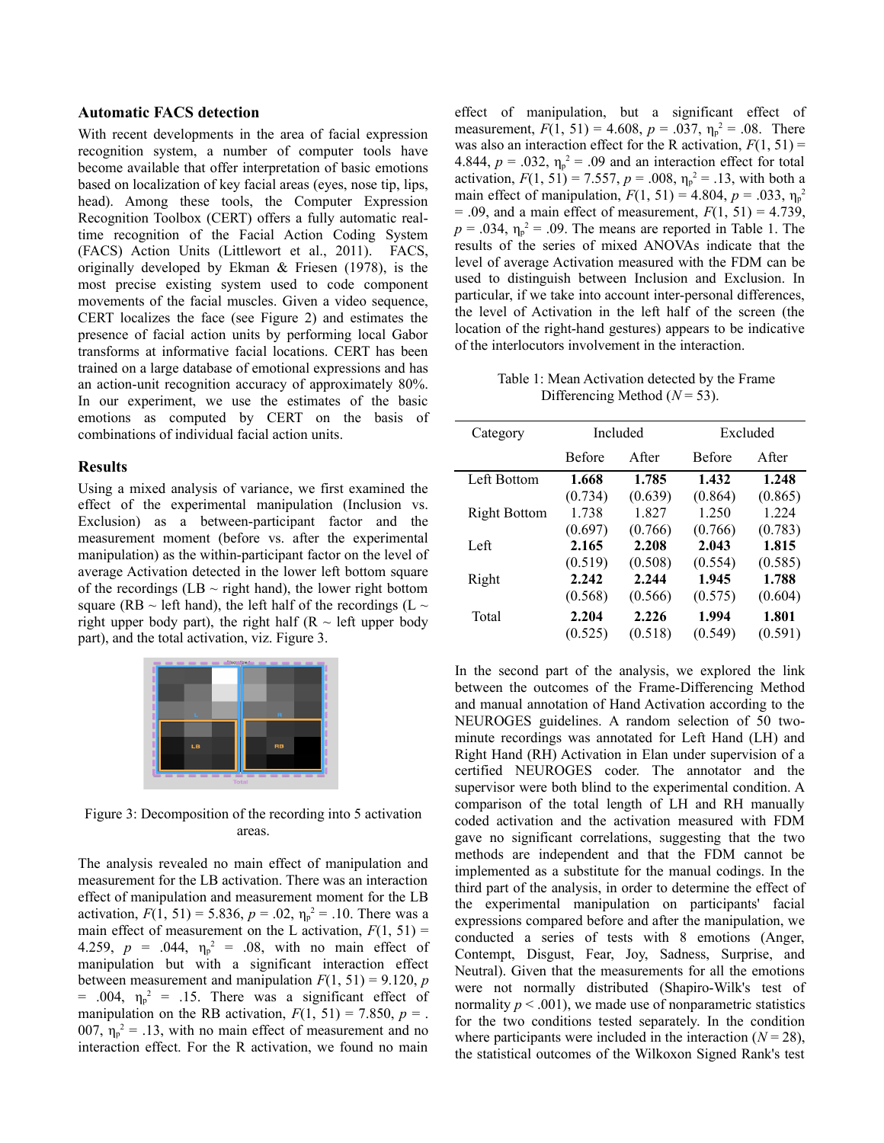#### **Automatic FACS detection**

With recent developments in the area of facial expression recognition system, a number of computer tools have become available that offer interpretation of basic emotions based on localization of key facial areas (eyes, nose tip, lips, head). Among these tools, the Computer Expression Recognition Toolbox (CERT) offers a fully automatic realtime recognition of the Facial Action Coding System (FACS) Action Units (Littlewort et al., 2011). FACS, originally developed by Ekman & Friesen (1978), is the most precise existing system used to code component movements of the facial muscles. Given a video sequence, CERT localizes the face (see Figure 2) and estimates the presence of facial action units by performing local Gabor transforms at informative facial locations. CERT has been trained on a large database of emotional expressions and has an action-unit recognition accuracy of approximately 80%. In our experiment, we use the estimates of the basic emotions as computed by CERT on the basis of combinations of individual facial action units.

### **Results**

Using a mixed analysis of variance, we first examined the effect of the experimental manipulation (Inclusion vs. Exclusion) as a between-participant factor and the measurement moment (before vs. after the experimental manipulation) as the within-participant factor on the level of average Activation detected in the lower left bottom square of the recordings (LB  $\sim$  right hand), the lower right bottom square (RB  $\sim$  left hand), the left half of the recordings (L  $\sim$ right upper body part), the right half ( $R \sim$  left upper body part), and the total activation, viz. Figure 3.



Figure 3: Decomposition of the recording into 5 activation areas.

The analysis revealed no main effect of manipulation and measurement for the LB activation. There was an interaction effect of manipulation and measurement moment for the LB activation,  $F(1, 51) = 5.836$ ,  $p = .02$ ,  $\eta_p^2 = .10$ . There was a main effect of measurement on the L activation,  $F(1, 51) =$ 4.259,  $p = .044$ ,  $\eta_p^2 = .08$ , with no main effect of manipulation but with a significant interaction effect between measurement and manipulation  $F(1, 51) = 9.120$ , *p* = .004,  $\eta_p^2$  = .15. There was a significant effect of manipulation on the RB activation,  $F(1, 51) = 7.850$ ,  $p =$ . 007,  $\eta_p^2 = 0.13$ , with no main effect of measurement and no interaction effect. For the R activation, we found no main

effect of manipulation, but a significant effect of measurement,  $F(1, 51) = 4.608$ ,  $p = .037$ ,  $\eta_p^2 = .08$ . There was also an interaction effect for the R activation,  $F(1, 51) =$ 4.844,  $p = .032$ ,  $\eta_p^2 = .09$  and an interaction effect for total activation,  $F(1, 51) = 7.557$ ,  $p = .008$ ,  $\eta_p^2 = .13$ , with both a main effect of manipulation,  $F(1, 51) = 4.804$ ,  $p = .033$ ,  $\eta_p^2$  $= .09$ , and a main effect of measurement,  $F(1, 51) = 4.739$ ,  $p = .034$ ,  $\eta_p^2 = .09$ . The means are reported in Table 1. The results of the series of mixed ANOVAs indicate that the level of average Activation measured with the FDM can be used to distinguish between Inclusion and Exclusion. In particular, if we take into account inter-personal differences, the level of Activation in the left half of the screen (the location of the right-hand gestures) appears to be indicative of the interlocutors involvement in the interaction.

Table 1: Mean Activation detected by the Frame Differencing Method (*N* = 53).

| Category            |               | Included | Excluded      |               |  |
|---------------------|---------------|----------|---------------|---------------|--|
|                     | <b>Before</b> | A fter   | <b>Before</b> | <b>A</b> fter |  |
| Left Bottom         | 1.668         | 1.785    | 1.432         | 1.248         |  |
|                     | (0.734)       | (0.639)  | (0.864)       | (0.865)       |  |
| <b>Right Bottom</b> | 1.738         | 1.827    | 1.250         | 1.224         |  |
|                     | (0.697)       | (0.766)  | (0.766)       | (0.783)       |  |
| Left                | 2.165         | 2.208    | 2.043         | 1.815         |  |
|                     | (0.519)       | (0.508)  | (0.554)       | (0.585)       |  |
| Right               | 2.242         | 2.244    | 1.945         | 1.788         |  |
|                     | (0.568)       | (0.566)  | (0.575)       | (0.604)       |  |
| Total               | 2.204         | 2.226    | 1.994         | 1.801         |  |
|                     | (0.525)       | (0.518)  | (0.549)       | (0.591)       |  |

In the second part of the analysis, we explored the link between the outcomes of the Frame-Differencing Method and manual annotation of Hand Activation according to the NEUROGES guidelines. A random selection of 50 twominute recordings was annotated for Left Hand (LH) and Right Hand (RH) Activation in Elan under supervision of a certified NEUROGES coder. The annotator and the supervisor were both blind to the experimental condition. A comparison of the total length of LH and RH manually coded activation and the activation measured with FDM gave no significant correlations, suggesting that the two methods are independent and that the FDM cannot be implemented as a substitute for the manual codings. In the third part of the analysis, in order to determine the effect of the experimental manipulation on participants' facial expressions compared before and after the manipulation, we conducted a series of tests with 8 emotions (Anger, Contempt, Disgust, Fear, Joy, Sadness, Surprise, and Neutral). Given that the measurements for all the emotions were not normally distributed (Shapiro-Wilk's test of normality  $p < .001$ ), we made use of nonparametric statistics for the two conditions tested separately. In the condition where participants were included in the interaction  $(N = 28)$ , the statistical outcomes of the Wilkoxon Signed Rank's test